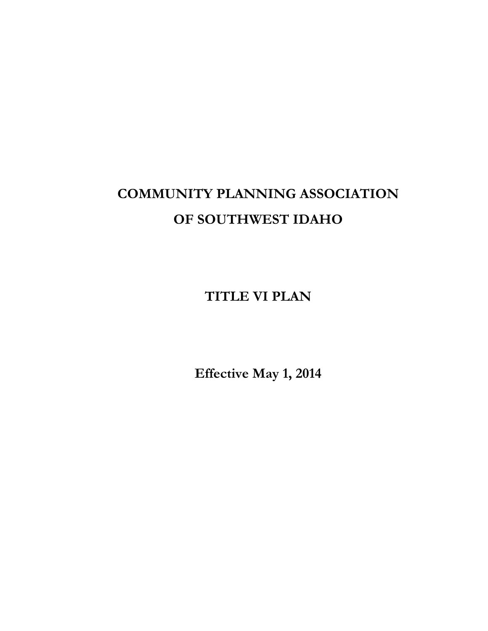# **COMMUNITY PLANNING ASSOCIATION OF SOUTHWEST IDAHO**

**TITLE VI PLAN**

**Effective May 1, 2014**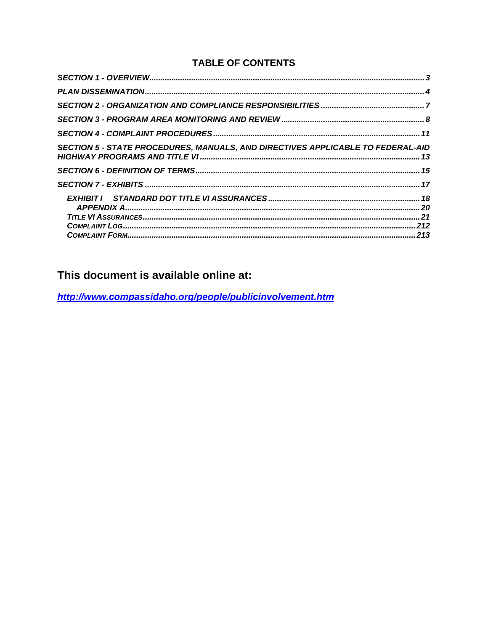## <span id="page-1-0"></span>**TABLE OF CONTENTS**

| <b>SECTION 5 - STATE PROCEDURES, MANUALS, AND DIRECTIVES APPLICABLE TO FEDERAL-AID</b> |  |
|----------------------------------------------------------------------------------------|--|
|                                                                                        |  |
|                                                                                        |  |
|                                                                                        |  |
|                                                                                        |  |

# This document is available online at:

http://www.compassidaho.org/people/publicinvolvement.htm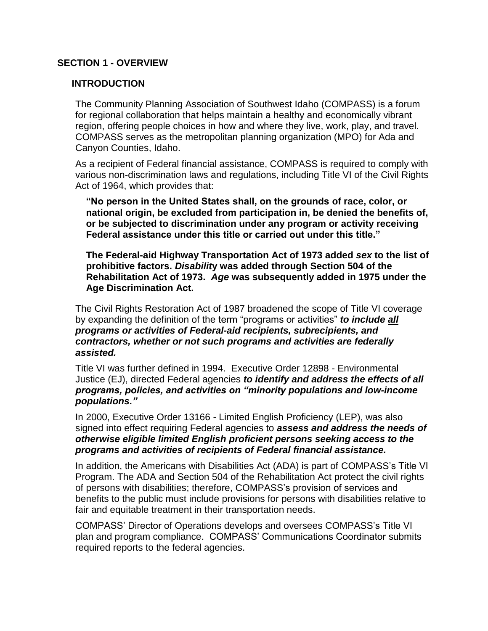#### **SECTION 1 - OVERVIEW**

#### **INTRODUCTION**

The Community Planning Association of Southwest Idaho (COMPASS) is a forum for regional collaboration that helps maintain a healthy and economically vibrant region, offering people choices in how and where they live, work, play, and travel. COMPASS serves as the metropolitan planning organization (MPO) for Ada and Canyon Counties, Idaho.

As a recipient of Federal financial assistance, COMPASS is required to comply with various non-discrimination laws and regulations, including Title VI of the Civil Rights Act of 1964, which provides that:

**"No person in the United States shall, on the grounds of race, color, or national origin, be excluded from participation in, be denied the benefits of, or be subjected to discrimination under any program or activity receiving Federal assistance under this title or carried out under this title."**

**The Federal-aid Highway Transportation Act of 1973 added** *sex* **to the list of prohibitive factors.** *Disabilit***y was added through Section 504 of the Rehabilitation Act of 1973.** *Age* **was subsequently added in 1975 under the Age Discrimination Act.**

The Civil Rights Restoration Act of 1987 broadened the scope of Title VI coverage by expanding the definition of the term "programs or activities" *to include all programs or activities of Federal-aid recipients, subrecipients, and contractors, whether or not such programs and activities are federally assisted.*

Title VI was further defined in 1994. Executive Order 12898 - Environmental Justice (EJ), directed Federal agencies *to identify and address the effects of all programs, policies, and activities on "minority populations and low-income populations."*

In 2000, Executive Order 13166 - Limited English Proficiency (LEP), was also signed into effect requiring Federal agencies to *assess and address the needs of otherwise eligible limited English proficient persons seeking access to the programs and activities of recipients of Federal financial assistance.* 

In addition, the Americans with Disabilities Act (ADA) is part of COMPASS's Title VI Program. The ADA and Section 504 of the Rehabilitation Act protect the civil rights of persons with disabilities; therefore, COMPASS's provision of services and benefits to the public must include provisions for persons with disabilities relative to fair and equitable treatment in their transportation needs.

COMPASS' Director of Operations develops and oversees COMPASS's Title VI plan and program compliance. COMPASS' Communications Coordinator submits required reports to the federal agencies.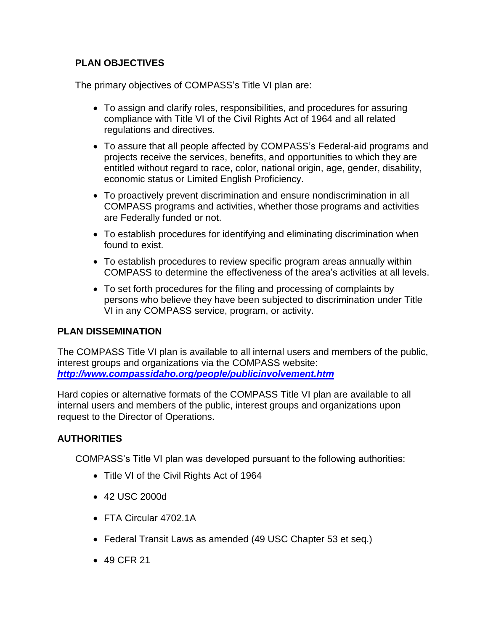## **PLAN OBJECTIVES**

The primary objectives of COMPASS's Title VI plan are:

- To assign and clarify roles, responsibilities, and procedures for assuring compliance with Title VI of the Civil Rights Act of 1964 and all related regulations and directives.
- To assure that all people affected by COMPASS's Federal-aid programs and projects receive the services, benefits, and opportunities to which they are entitled without regard to race, color, national origin, age, gender, disability, economic status or Limited English Proficiency.
- To proactively prevent discrimination and ensure nondiscrimination in all COMPASS programs and activities, whether those programs and activities are Federally funded or not.
- To establish procedures for identifying and eliminating discrimination when found to exist.
- To establish procedures to review specific program areas annually within COMPASS to determine the effectiveness of the area's activities at all levels.
- To set forth procedures for the filing and processing of complaints by persons who believe they have been subjected to discrimination under Title VI in any COMPASS service, program, or activity.

#### <span id="page-3-0"></span>**PLAN DISSEMINATION**

The COMPASS Title VI plan is available to all internal users and members of the public, interest groups and organizations via the COMPASS website: *<http://www.compassidaho.org/people/publicinvolvement.htm>*

Hard copies or alternative formats of the COMPASS Title VI plan are available to all internal users and members of the public, interest groups and organizations upon request to the Director of Operations.

## **AUTHORITIES**

COMPASS's Title VI plan was developed pursuant to the following authorities:

- Title VI of the Civil Rights Act of 1964
- 42 USC 2000d
- FTA Circular 4702.1A
- Federal Transit Laws as amended (49 USC Chapter 53 et seq.)
- 49 CFR 21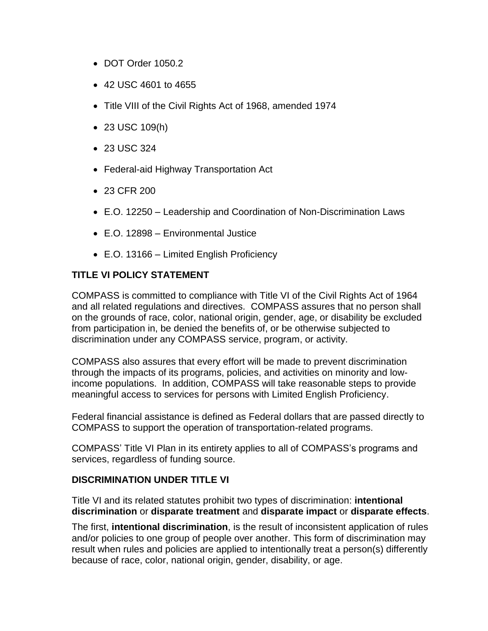- DOT Order 1050.2
- 42 USC 4601 to 4655
- Title VIII of the Civil Rights Act of 1968, amended 1974
- 23 USC 109(h)
- 23 USC 324
- Federal-aid Highway Transportation Act
- 23 CFR 200
- E.O. 12250 Leadership and Coordination of Non-Discrimination Laws
- E.O. 12898 Environmental Justice
- E.O. 13166 Limited English Proficiency

#### **TITLE VI POLICY STATEMENT**

COMPASS is committed to compliance with Title VI of the Civil Rights Act of 1964 and all related regulations and directives. COMPASS assures that no person shall on the grounds of race, color, national origin, gender, age, or disability be excluded from participation in, be denied the benefits of, or be otherwise subjected to discrimination under any COMPASS service, program, or activity.

COMPASS also assures that every effort will be made to prevent discrimination through the impacts of its programs, policies, and activities on minority and lowincome populations. In addition, COMPASS will take reasonable steps to provide meaningful access to services for persons with Limited English Proficiency.

Federal financial assistance is defined as Federal dollars that are passed directly to COMPASS to support the operation of transportation-related programs.

COMPASS' Title VI Plan in its entirety applies to all of COMPASS's programs and services, regardless of funding source.

#### **DISCRIMINATION UNDER TITLE VI**

Title VI and its related statutes prohibit two types of discrimination: **intentional discrimination** or **disparate treatment** and **disparate impact** or **disparate effects**.

The first, **intentional discrimination**, is the result of inconsistent application of rules and/or policies to one group of people over another. This form of discrimination may result when rules and policies are applied to intentionally treat a person(s) differently because of race, color, national origin, gender, disability, or age.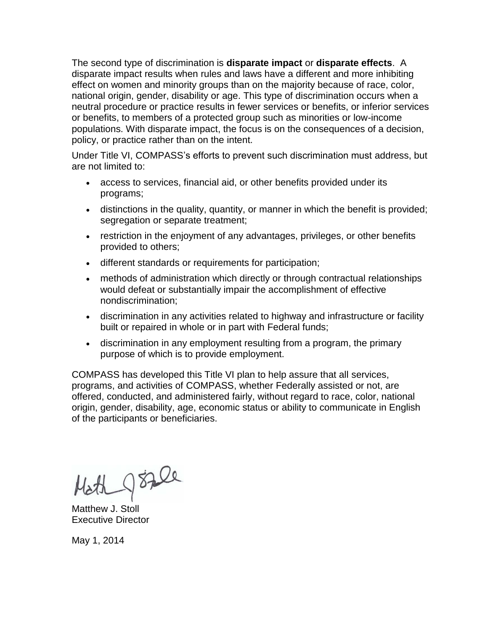The second type of discrimination is **disparate impact** or **disparate effects**. A disparate impact results when rules and laws have a different and more inhibiting effect on women and minority groups than on the majority because of race, color, national origin, gender, disability or age. This type of discrimination occurs when a neutral procedure or practice results in fewer services or benefits, or inferior services or benefits, to members of a protected group such as minorities or low-income populations. With disparate impact, the focus is on the consequences of a decision, policy, or practice rather than on the intent.

Under Title VI, COMPASS's efforts to prevent such discrimination must address, but are not limited to:

- access to services, financial aid, or other benefits provided under its programs;
- distinctions in the quality, quantity, or manner in which the benefit is provided; segregation or separate treatment;
- restriction in the enjoyment of any advantages, privileges, or other benefits provided to others;
- different standards or requirements for participation;
- methods of administration which directly or through contractual relationships would defeat or substantially impair the accomplishment of effective nondiscrimination;
- discrimination in any activities related to highway and infrastructure or facility built or repaired in whole or in part with Federal funds;
- discrimination in any employment resulting from a program, the primary purpose of which is to provide employment.

COMPASS has developed this Title VI plan to help assure that all services, programs, and activities of COMPASS, whether Federally assisted or not, are offered, conducted, and administered fairly, without regard to race, color, national origin, gender, disability, age, economic status or ability to communicate in English of the participants or beneficiaries.

Matthew J. Stoll Executive Director

May 1, 2014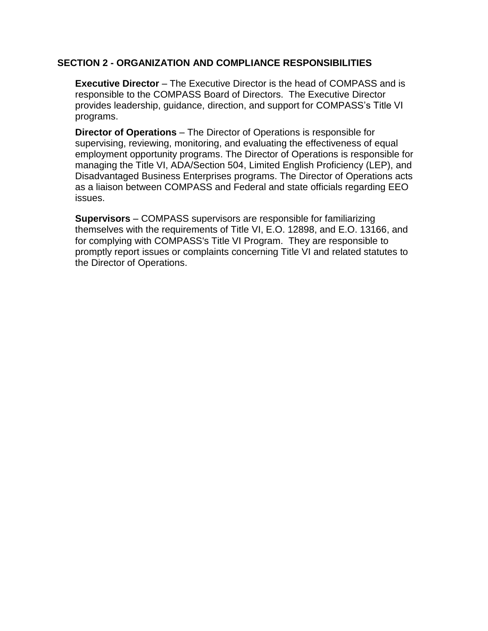#### <span id="page-6-0"></span>**SECTION 2 - ORGANIZATION AND COMPLIANCE RESPONSIBILITIES**

**Executive Director** – The Executive Director is the head of COMPASS and is responsible to the COMPASS Board of Directors. The Executive Director provides leadership, guidance, direction, and support for COMPASS's Title VI programs.

**Director of Operations** – The Director of Operations is responsible for supervising, reviewing, monitoring, and evaluating the effectiveness of equal employment opportunity programs. The Director of Operations is responsible for managing the Title VI, ADA/Section 504, Limited English Proficiency (LEP), and Disadvantaged Business Enterprises programs. The Director of Operations acts as a liaison between COMPASS and Federal and state officials regarding EEO issues.

<span id="page-6-1"></span>**Supervisors** – COMPASS supervisors are responsible for familiarizing themselves with the requirements of Title VI, E.O. 12898, and E.O. 13166, and for complying with COMPASS's Title VI Program. They are responsible to promptly report issues or complaints concerning Title VI and related statutes to the Director of Operations.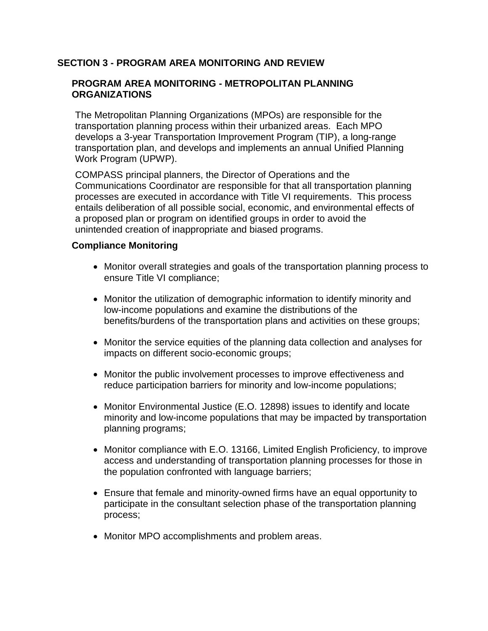#### **SECTION 3 - PROGRAM AREA MONITORING AND REVIEW**

#### **PROGRAM AREA MONITORING - METROPOLITAN PLANNING ORGANIZATIONS**

The Metropolitan Planning Organizations (MPOs) are responsible for the transportation planning process within their urbanized areas. Each MPO develops a 3-year Transportation Improvement Program (TIP), a long-range transportation plan, and develops and implements an annual Unified Planning Work Program (UPWP).

COMPASS principal planners, the Director of Operations and the Communications Coordinator are responsible for that all transportation planning processes are executed in accordance with Title VI requirements. This process entails deliberation of all possible social, economic, and environmental effects of a proposed plan or program on identified groups in order to avoid the unintended creation of inappropriate and biased programs.

#### **Compliance Monitoring**

- Monitor overall strategies and goals of the transportation planning process to ensure Title VI compliance;
- Monitor the utilization of demographic information to identify minority and low-income populations and examine the distributions of the benefits/burdens of the transportation plans and activities on these groups;
- Monitor the service equities of the planning data collection and analyses for impacts on different socio-economic groups;
- Monitor the public involvement processes to improve effectiveness and reduce participation barriers for minority and low-income populations;
- Monitor Environmental Justice (E.O. 12898) issues to identify and locate minority and low-income populations that may be impacted by transportation planning programs;
- Monitor compliance with E.O. 13166, Limited English Proficiency, to improve access and understanding of transportation planning processes for those in the population confronted with language barriers;
- Ensure that female and minority-owned firms have an equal opportunity to participate in the consultant selection phase of the transportation planning process;
- Monitor MPO accomplishments and problem areas.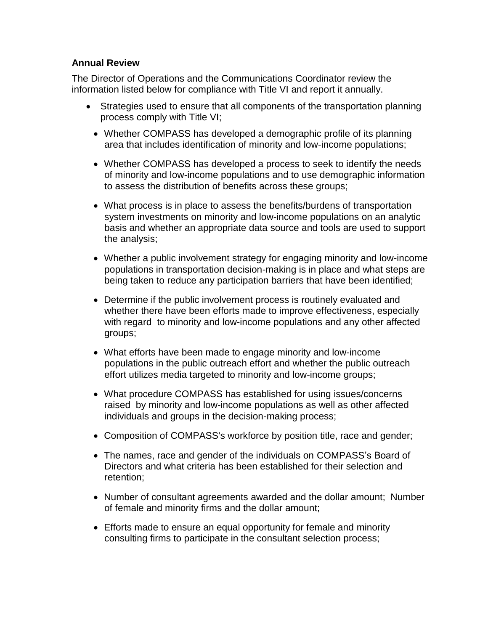#### **Annual Review**

The Director of Operations and the Communications Coordinator review the information listed below for compliance with Title VI and report it annually.

- Strategies used to ensure that all components of the transportation planning process comply with Title VI;
	- Whether COMPASS has developed a demographic profile of its planning area that includes identification of minority and low-income populations;
	- Whether COMPASS has developed a process to seek to identify the needs of minority and low-income populations and to use demographic information to assess the distribution of benefits across these groups;
	- What process is in place to assess the benefits/burdens of transportation system investments on minority and low-income populations on an analytic basis and whether an appropriate data source and tools are used to support the analysis;
	- Whether a public involvement strategy for engaging minority and low-income populations in transportation decision-making is in place and what steps are being taken to reduce any participation barriers that have been identified;
	- Determine if the public involvement process is routinely evaluated and whether there have been efforts made to improve effectiveness, especially with regard to minority and low-income populations and any other affected groups;
	- What efforts have been made to engage minority and low-income populations in the public outreach effort and whether the public outreach effort utilizes media targeted to minority and low-income groups;
	- What procedure COMPASS has established for using issues/concerns raised by minority and low-income populations as well as other affected individuals and groups in the decision-making process;
	- Composition of COMPASS's workforce by position title, race and gender;
	- The names, race and gender of the individuals on COMPASS's Board of Directors and what criteria has been established for their selection and retention;
	- Number of consultant agreements awarded and the dollar amount; Number of female and minority firms and the dollar amount;
	- Efforts made to ensure an equal opportunity for female and minority consulting firms to participate in the consultant selection process;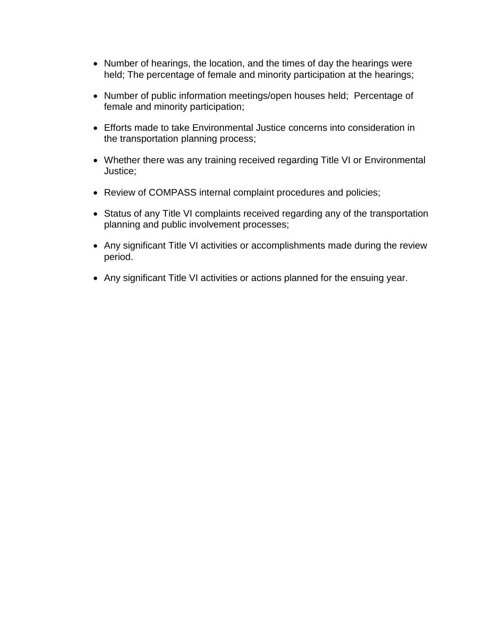- Number of hearings, the location, and the times of day the hearings were held; The percentage of female and minority participation at the hearings;
- Number of public information meetings/open houses held; Percentage of female and minority participation;
- Efforts made to take Environmental Justice concerns into consideration in the transportation planning process;
- Whether there was any training received regarding Title VI or Environmental Justice;
- Review of COMPASS internal complaint procedures and policies;
- Status of any Title VI complaints received regarding any of the transportation planning and public involvement processes;
- Any significant Title VI activities or accomplishments made during the review period.
- Any significant Title VI activities or actions planned for the ensuing year.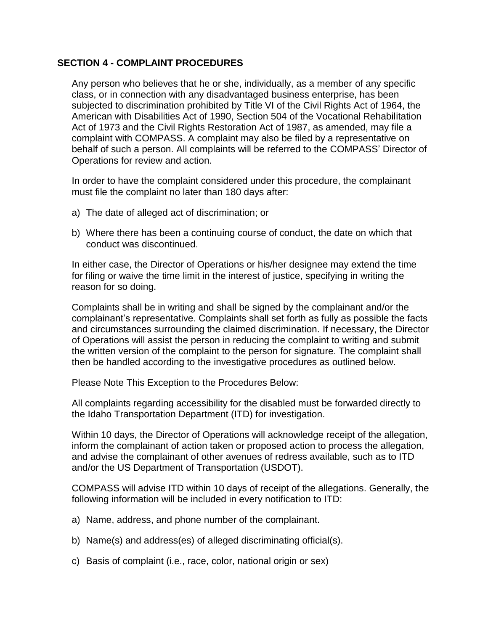#### <span id="page-10-0"></span>**SECTION 4 - COMPLAINT PROCEDURES**

Any person who believes that he or she, individually, as a member of any specific class, or in connection with any disadvantaged business enterprise, has been subjected to discrimination prohibited by Title VI of the Civil Rights Act of 1964, the American with Disabilities Act of 1990, Section 504 of the Vocational Rehabilitation Act of 1973 and the Civil Rights Restoration Act of 1987, as amended, may file a complaint with COMPASS. A complaint may also be filed by a representative on behalf of such a person. All complaints will be referred to the COMPASS' Director of Operations for review and action.

In order to have the complaint considered under this procedure, the complainant must file the complaint no later than 180 days after:

- a) The date of alleged act of discrimination; or
- b) Where there has been a continuing course of conduct, the date on which that conduct was discontinued.

In either case, the Director of Operations or his/her designee may extend the time for filing or waive the time limit in the interest of justice, specifying in writing the reason for so doing.

Complaints shall be in writing and shall be signed by the complainant and/or the complainant's representative. Complaints shall set forth as fully as possible the facts and circumstances surrounding the claimed discrimination. If necessary, the Director of Operations will assist the person in reducing the complaint to writing and submit the written version of the complaint to the person for signature. The complaint shall then be handled according to the investigative procedures as outlined below.

Please Note This Exception to the Procedures Below:

All complaints regarding accessibility for the disabled must be forwarded directly to the Idaho Transportation Department (ITD) for investigation.

Within 10 days, the Director of Operations will acknowledge receipt of the allegation, inform the complainant of action taken or proposed action to process the allegation, and advise the complainant of other avenues of redress available, such as to ITD and/or the US Department of Transportation (USDOT).

COMPASS will advise ITD within 10 days of receipt of the allegations. Generally, the following information will be included in every notification to ITD:

- a) Name, address, and phone number of the complainant.
- b) Name(s) and address(es) of alleged discriminating official(s).
- c) Basis of complaint (i.e., race, color, national origin or sex)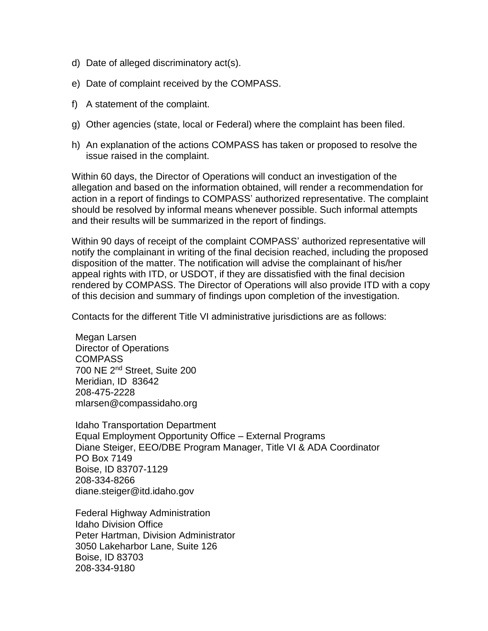- d) Date of alleged discriminatory act(s).
- e) Date of complaint received by the COMPASS.
- f) A statement of the complaint.
- g) Other agencies (state, local or Federal) where the complaint has been filed.
- h) An explanation of the actions COMPASS has taken or proposed to resolve the issue raised in the complaint.

Within 60 days, the Director of Operations will conduct an investigation of the allegation and based on the information obtained, will render a recommendation for action in a report of findings to COMPASS' authorized representative. The complaint should be resolved by informal means whenever possible. Such informal attempts and their results will be summarized in the report of findings.

Within 90 days of receipt of the complaint COMPASS' authorized representative will notify the complainant in writing of the final decision reached, including the proposed disposition of the matter. The notification will advise the complainant of his/her appeal rights with ITD, or USDOT, if they are dissatisfied with the final decision rendered by COMPASS. The Director of Operations will also provide ITD with a copy of this decision and summary of findings upon completion of the investigation.

Contacts for the different Title VI administrative jurisdictions are as follows:

Megan Larsen Director of Operations **COMPASS** 700 NE 2nd Street, Suite 200 Meridian, ID 83642 208-475-2228 mlarsen@compassidaho.org

Idaho Transportation Department Equal Employment Opportunity Office – External Programs Diane Steiger, EEO/DBE Program Manager, Title VI & ADA Coordinator PO Box 7149 Boise, ID 83707-1129 208-334-8266 diane.steiger@itd.idaho.gov

Federal Highway Administration Idaho Division Office Peter Hartman, Division Administrator 3050 Lakeharbor Lane, Suite 126 Boise, ID 83703 208-334-9180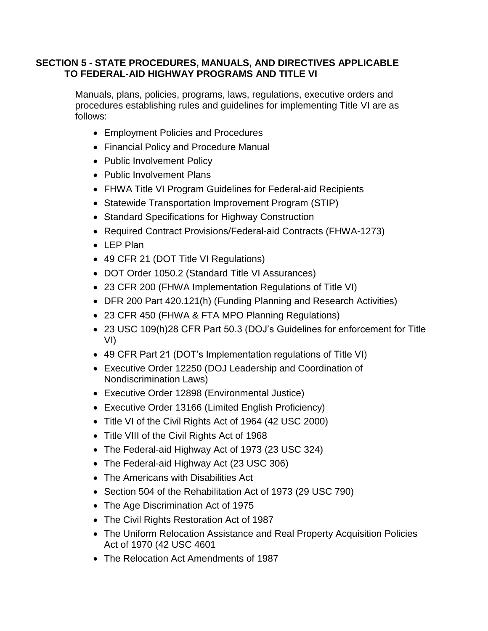#### <span id="page-12-0"></span>**SECTION 5 - STATE PROCEDURES, MANUALS, AND DIRECTIVES APPLICABLE TO FEDERAL-AID HIGHWAY PROGRAMS AND TITLE VI**

Manuals, plans, policies, programs, laws, regulations, executive orders and procedures establishing rules and guidelines for implementing Title VI are as follows:

- Employment Policies and Procedures
- Financial Policy and Procedure Manual
- Public Involvement Policy
- Public Involvement Plans
- FHWA Title VI Program Guidelines for Federal-aid Recipients
- Statewide Transportation Improvement Program (STIP)
- Standard Specifications for Highway Construction
- Required Contract Provisions/Federal-aid Contracts (FHWA-1273)
- LEP Plan
- 49 CFR 21 (DOT Title VI Regulations)
- DOT Order 1050.2 (Standard Title VI Assurances)
- 23 CFR 200 (FHWA Implementation Regulations of Title VI)
- DFR 200 Part 420.121(h) (Funding Planning and Research Activities)
- 23 CFR 450 (FHWA & FTA MPO Planning Regulations)
- 23 USC 109(h)28 CFR Part 50.3 (DOJ's Guidelines for enforcement for Title VI)
- 49 CFR Part 21 (DOT's Implementation regulations of Title VI)
- Executive Order 12250 (DOJ Leadership and Coordination of Nondiscrimination Laws)
- Executive Order 12898 (Environmental Justice)
- Executive Order 13166 (Limited English Proficiency)
- Title VI of the Civil Rights Act of 1964 (42 USC 2000)
- Title VIII of the Civil Rights Act of 1968
- The Federal-aid Highway Act of 1973 (23 USC 324)
- The Federal-aid Highway Act (23 USC 306)
- The Americans with Disabilities Act
- Section 504 of the Rehabilitation Act of 1973 (29 USC 790)
- The Age Discrimination Act of 1975
- The Civil Rights Restoration Act of 1987
- The Uniform Relocation Assistance and Real Property Acquisition Policies Act of 1970 (42 USC 4601
- The Relocation Act Amendments of 1987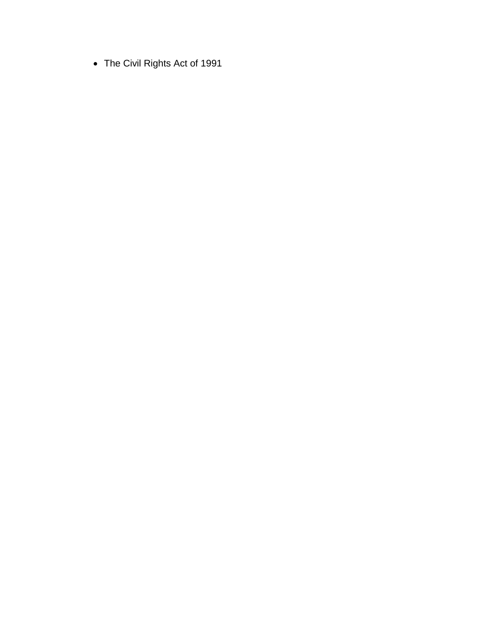The Civil Rights Act of 1991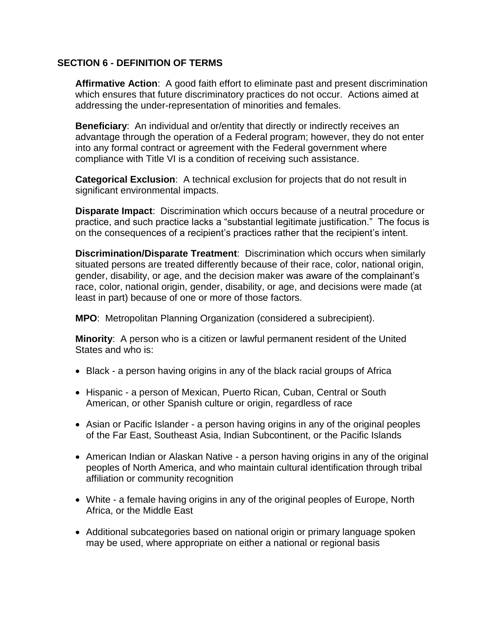#### <span id="page-14-0"></span>**SECTION 6 - DEFINITION OF TERMS**

**Affirmative Action**:A good faith effort to eliminate past and present discrimination which ensures that future discriminatory practices do not occur. Actions aimed at addressing the under-representation of minorities and females.

**Beneficiary**:An individual and or/entity that directly or indirectly receives an advantage through the operation of a Federal program; however, they do not enter into any formal contract or agreement with the Federal government where compliance with Title VI is a condition of receiving such assistance.

**Categorical Exclusion**:A technical exclusion for projects that do not result in significant environmental impacts.

**Disparate Impact**:Discrimination which occurs because of a neutral procedure or practice, and such practice lacks a "substantial legitimate justification." The focus is on the consequences of a recipient's practices rather that the recipient's intent.

**Discrimination/Disparate Treatment**:Discrimination which occurs when similarly situated persons are treated differently because of their race, color, national origin, gender, disability, or age, and the decision maker was aware of the complainant's race, color, national origin, gender, disability, or age, and decisions were made (at least in part) because of one or more of those factors.

**MPO**:Metropolitan Planning Organization (considered a subrecipient).

**Minority**:A person who is a citizen or lawful permanent resident of the United States and who is:

- Black a person having origins in any of the black racial groups of Africa
- Hispanic a person of Mexican, Puerto Rican, Cuban, Central or South American, or other Spanish culture or origin, regardless of race
- Asian or Pacific Islander a person having origins in any of the original peoples of the Far East, Southeast Asia, Indian Subcontinent, or the Pacific Islands
- American Indian or Alaskan Native a person having origins in any of the original peoples of North America, and who maintain cultural identification through tribal affiliation or community recognition
- White a female having origins in any of the original peoples of Europe, North Africa, or the Middle East
- Additional subcategories based on national origin or primary language spoken may be used, where appropriate on either a national or regional basis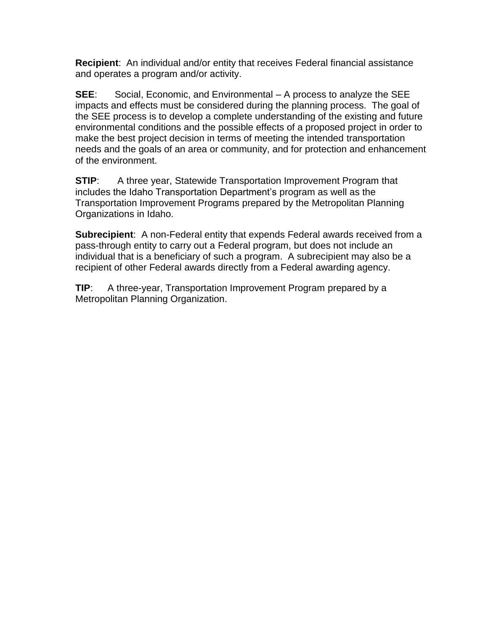**Recipient**: An individual and/or entity that receives Federal financial assistance and operates a program and/or activity.

**SEE**: Social, Economic, and Environmental – A process to analyze the SEE impacts and effects must be considered during the planning process. The goal of the SEE process is to develop a complete understanding of the existing and future environmental conditions and the possible effects of a proposed project in order to make the best project decision in terms of meeting the intended transportation needs and the goals of an area or community, and for protection and enhancement of the environment.

**STIP:** A three year, Statewide Transportation Improvement Program that includes the Idaho Transportation Department's program as well as the Transportation Improvement Programs prepared by the Metropolitan Planning Organizations in Idaho.

**Subrecipient**: A non-Federal entity that expends Federal awards received from a pass-through entity to carry out a Federal program, but does not include an individual that is a beneficiary of such a program. A subrecipient may also be a recipient of other Federal awards directly from a Federal awarding agency.

**TIP:** A three-year, Transportation Improvement Program prepared by a Metropolitan Planning Organization.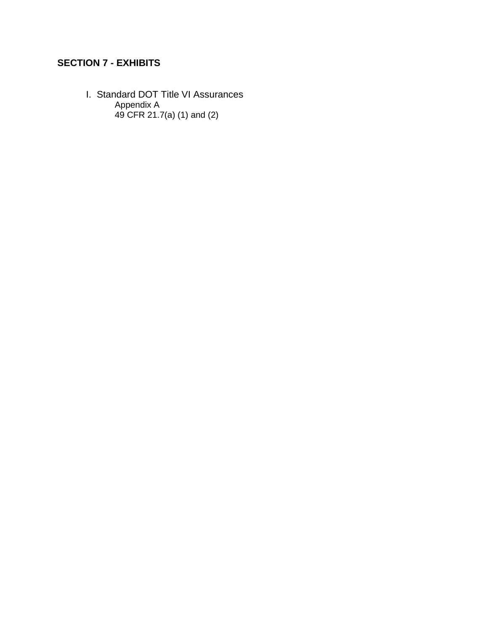## <span id="page-16-0"></span>**SECTION 7 - EXHIBITS**

I. Standard DOT Title VI Assurances Appendix A 49 CFR 21.7(a) (1) and (2)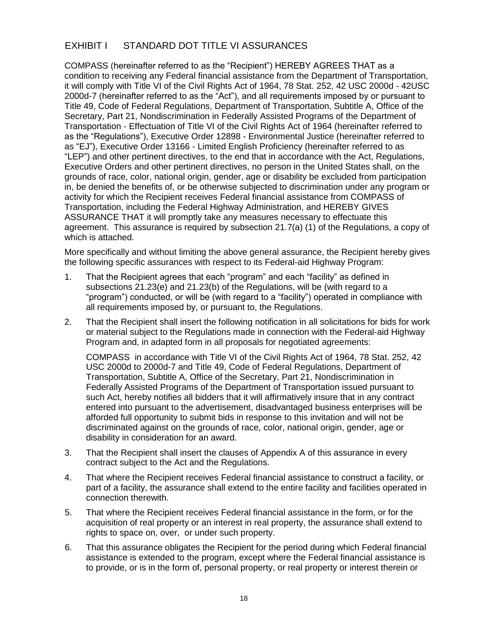### <span id="page-17-0"></span>EXHIBIT I STANDARD DOT TITLE VI ASSURANCES

COMPASS (hereinafter referred to as the "Recipient") HEREBY AGREES THAT as a condition to receiving any Federal financial assistance from the Department of Transportation, it will comply with Title VI of the Civil Rights Act of 1964, 78 Stat. 252, 42 USC 2000d - 42USC 2000d-7 (hereinafter referred to as the "Act"), and all requirements imposed by or pursuant to Title 49, Code of Federal Regulations, Department of Transportation, Subtitle A, Office of the Secretary, Part 21, Nondiscrimination in Federally Assisted Programs of the Department of Transportation - Effectuation of Title VI of the Civil Rights Act of 1964 (hereinafter referred to as the "Regulations"), Executive Order 12898 - Environmental Justice (hereinafter referred to as "EJ"), Executive Order 13166 - Limited English Proficiency (hereinafter referred to as "LEP") and other pertinent directives, to the end that in accordance with the Act, Regulations, Executive Orders and other pertinent directives, no person in the United States shall, on the grounds of race, color, national origin, gender, age or disability be excluded from participation in, be denied the benefits of, or be otherwise subjected to discrimination under any program or activity for which the Recipient receives Federal financial assistance from COMPASS of Transportation, including the Federal Highway Administration, and HEREBY GIVES ASSURANCE THAT it will promptly take any measures necessary to effectuate this agreement. This assurance is required by subsection 21.7(a) (1) of the Regulations, a copy of which is attached.

More specifically and without limiting the above general assurance, the Recipient hereby gives the following specific assurances with respect to its Federal-aid Highway Program:

- 1. That the Recipient agrees that each "program" and each "facility" as defined in subsections 21.23(e) and 21.23(b) of the Regulations, will be (with regard to a "program") conducted, or will be (with regard to a "facility") operated in compliance with all requirements imposed by, or pursuant to, the Regulations.
- 2. That the Recipient shall insert the following notification in all solicitations for bids for work or material subject to the Regulations made in connection with the Federal-aid Highway Program and, in adapted form in all proposals for negotiated agreements:

COMPASSin accordance with Title VI of the Civil Rights Act of 1964, 78 Stat. 252, 42 USC 2000d to 2000d-7 and Title 49, Code of Federal Regulations, Department of Transportation, Subtitle A, Office of the Secretary, Part 21, Nondiscrimination in Federally Assisted Programs of the Department of Transportation issued pursuant to such Act, hereby notifies all bidders that it will affirmatively insure that in any contract entered into pursuant to the advertisement, disadvantaged business enterprises will be afforded full opportunity to submit bids in response to this invitation and will not be discriminated against on the grounds of race, color, national origin, gender, age or disability in consideration for an award.

- 3. That the Recipient shall insert the clauses of Appendix A of this assurance in every contract subject to the Act and the Regulations.
- 4. That where the Recipient receives Federal financial assistance to construct a facility, or part of a facility, the assurance shall extend to the entire facility and facilities operated in connection therewith.
- 5. That where the Recipient receives Federal financial assistance in the form, or for the acquisition of real property or an interest in real property, the assurance shall extend to rights to space on, over, or under such property.
- 6. That this assurance obligates the Recipient for the period during which Federal financial assistance is extended to the program, except where the Federal financial assistance is to provide, or is in the form of, personal property, or real property or interest therein or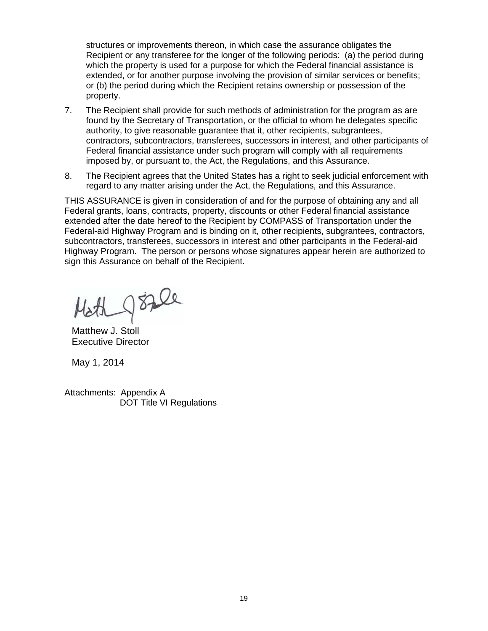structures or improvements thereon, in which case the assurance obligates the Recipient or any transferee for the longer of the following periods: (a) the period during which the property is used for a purpose for which the Federal financial assistance is extended, or for another purpose involving the provision of similar services or benefits; or (b) the period during which the Recipient retains ownership or possession of the property.

- 7. The Recipient shall provide for such methods of administration for the program as are found by the Secretary of Transportation, or the official to whom he delegates specific authority, to give reasonable guarantee that it, other recipients, subgrantees, contractors, subcontractors, transferees, successors in interest, and other participants of Federal financial assistance under such program will comply with all requirements imposed by, or pursuant to, the Act, the Regulations, and this Assurance.
- 8. The Recipient agrees that the United States has a right to seek judicial enforcement with regard to any matter arising under the Act, the Regulations, and this Assurance.

THIS ASSURANCE is given in consideration of and for the purpose of obtaining any and all Federal grants, loans, contracts, property, discounts or other Federal financial assistance extended after the date hereof to the Recipient by COMPASS of Transportation under the Federal-aid Highway Program and is binding on it, other recipients, subgrantees, contractors, subcontractors, transferees, successors in interest and other participants in the Federal-aid Highway Program. The person or persons whose signatures appear herein are authorized to sign this Assurance on behalf of the Recipient.

Math goze

Matthew J. Stoll Executive Director

May 1, 2014

Attachments: Appendix A DOT Title VI Regulations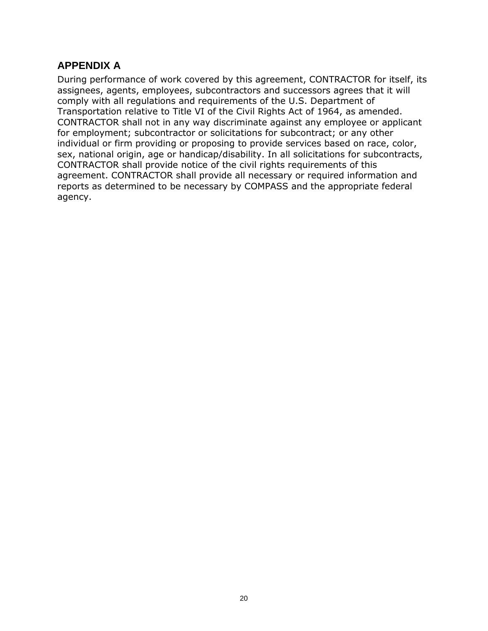## <span id="page-19-0"></span>**APPENDIX A**

During performance of work covered by this agreement, CONTRACTOR for itself, its assignees, agents, employees, subcontractors and successors agrees that it will comply with all regulations and requirements of the U.S. Department of Transportation relative to Title VI of the Civil Rights Act of 1964, as amended. CONTRACTOR shall not in any way discriminate against any employee or applicant for employment; subcontractor or solicitations for subcontract; or any other individual or firm providing or proposing to provide services based on race, color, sex, national origin, age or handicap/disability. In all solicitations for subcontracts, CONTRACTOR shall provide notice of the civil rights requirements of this agreement. CONTRACTOR shall provide all necessary or required information and reports as determined to be necessary by COMPASS and the appropriate federal agency.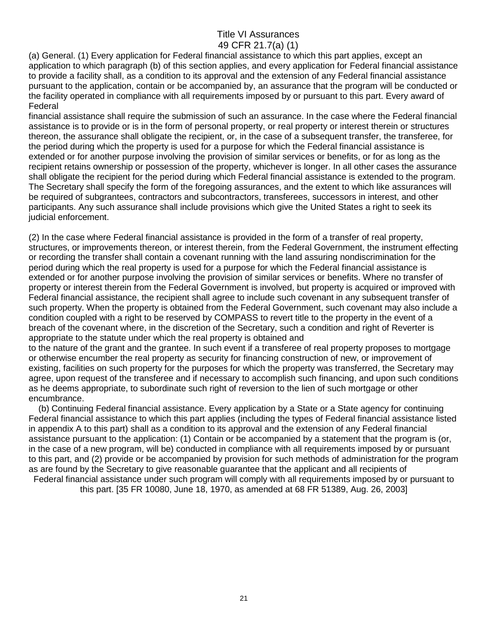#### Title VI Assurances 49 CFR 21.7(a) (1)

<span id="page-20-0"></span>(a) General. (1) Every application for Federal financial assistance to which this part applies, except an application to which paragraph (b) of this section applies, and every application for Federal financial assistance to provide a facility shall, as a condition to its approval and the extension of any Federal financial assistance pursuant to the application, contain or be accompanied by, an assurance that the program will be conducted or the facility operated in compliance with all requirements imposed by or pursuant to this part. Every award of Federal

financial assistance shall require the submission of such an assurance. In the case where the Federal financial assistance is to provide or is in the form of personal property, or real property or interest therein or structures thereon, the assurance shall obligate the recipient, or, in the case of a subsequent transfer, the transferee, for the period during which the property is used for a purpose for which the Federal financial assistance is extended or for another purpose involving the provision of similar services or benefits, or for as long as the recipient retains ownership or possession of the property, whichever is longer. In all other cases the assurance shall obligate the recipient for the period during which Federal financial assistance is extended to the program. The Secretary shall specify the form of the foregoing assurances, and the extent to which like assurances will be required of subgrantees, contractors and subcontractors, transferees, successors in interest, and other participants. Any such assurance shall include provisions which give the United States a right to seek its judicial enforcement.

(2) In the case where Federal financial assistance is provided in the form of a transfer of real property, structures, or improvements thereon, or interest therein, from the Federal Government, the instrument effecting or recording the transfer shall contain a covenant running with the land assuring nondiscrimination for the period during which the real property is used for a purpose for which the Federal financial assistance is extended or for another purpose involving the provision of similar services or benefits. Where no transfer of property or interest therein from the Federal Government is involved, but property is acquired or improved with Federal financial assistance, the recipient shall agree to include such covenant in any subsequent transfer of such property. When the property is obtained from the Federal Government, such covenant may also include a condition coupled with a right to be reserved by COMPASS to revert title to the property in the event of a breach of the covenant where, in the discretion of the Secretary, such a condition and right of Reverter is appropriate to the statute under which the real property is obtained and

to the nature of the grant and the grantee. In such event if a transferee of real property proposes to mortgage or otherwise encumber the real property as security for financing construction of new, or improvement of existing, facilities on such property for the purposes for which the property was transferred, the Secretary may agree, upon request of the transferee and if necessary to accomplish such financing, and upon such conditions as he deems appropriate, to subordinate such right of reversion to the lien of such mortgage or other encumbrance.

 (b) Continuing Federal financial assistance. Every application by a State or a State agency for continuing Federal financial assistance to which this part applies (including the types of Federal financial assistance listed in appendix A to this part) shall as a condition to its approval and the extension of any Federal financial assistance pursuant to the application: (1) Contain or be accompanied by a statement that the program is (or, in the case of a new program, will be) conducted in compliance with all requirements imposed by or pursuant to this part, and (2) provide or be accompanied by provision for such methods of administration for the program as are found by the Secretary to give reasonable guarantee that the applicant and all recipients of Federal financial assistance under such program will comply with all requirements imposed by or pursuant to

this part. [35 FR 10080, June 18, 1970, as amended at 68 FR 51389, Aug. 26, 2003]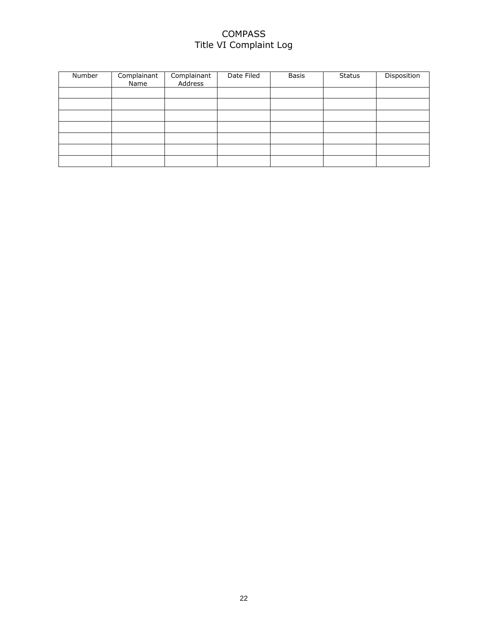#### COMPASS Title VI Complaint Log

| Number | Complainant<br>Name | Complainant<br>Address | Date Filed | <b>Basis</b> | <b>Status</b> | Disposition |
|--------|---------------------|------------------------|------------|--------------|---------------|-------------|
|        |                     |                        |            |              |               |             |
|        |                     |                        |            |              |               |             |
|        |                     |                        |            |              |               |             |
|        |                     |                        |            |              |               |             |
|        |                     |                        |            |              |               |             |
|        |                     |                        |            |              |               |             |
|        |                     |                        |            |              |               |             |